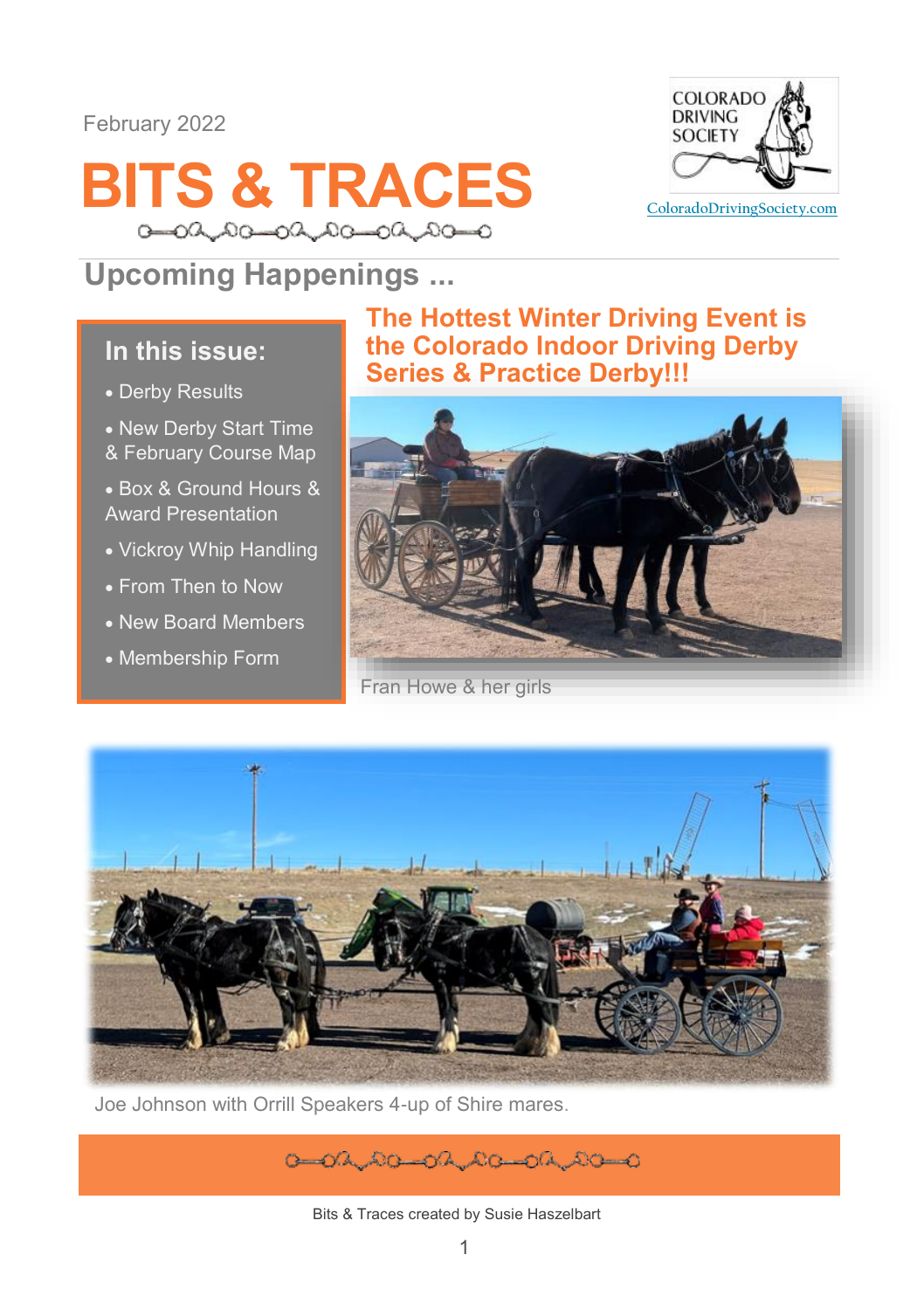#### February 2022





## **Upcoming Happenings ...**

### **In this issue:**

- Derby Results
- New Derby Start Time & February Course Map

• Box & Ground Hours & Award Presentation

- Vickroy Whip Handling
- From Then to Now
- New Board Members
- Membership Form

### **The Hottest Winter Driving Event is the Colorado Indoor Driving Derby Series & Practice Derby!!!**



Fran Howe & her girls



Joe Johnson with Orrill Speakers 4-up of Shire mares.

 $0 - 0$  (A, A) $0 - 0$  (A, A) $0 - 0$  (A, A) $0 - 0$ 

Bits & Traces created by Susie Haszelbart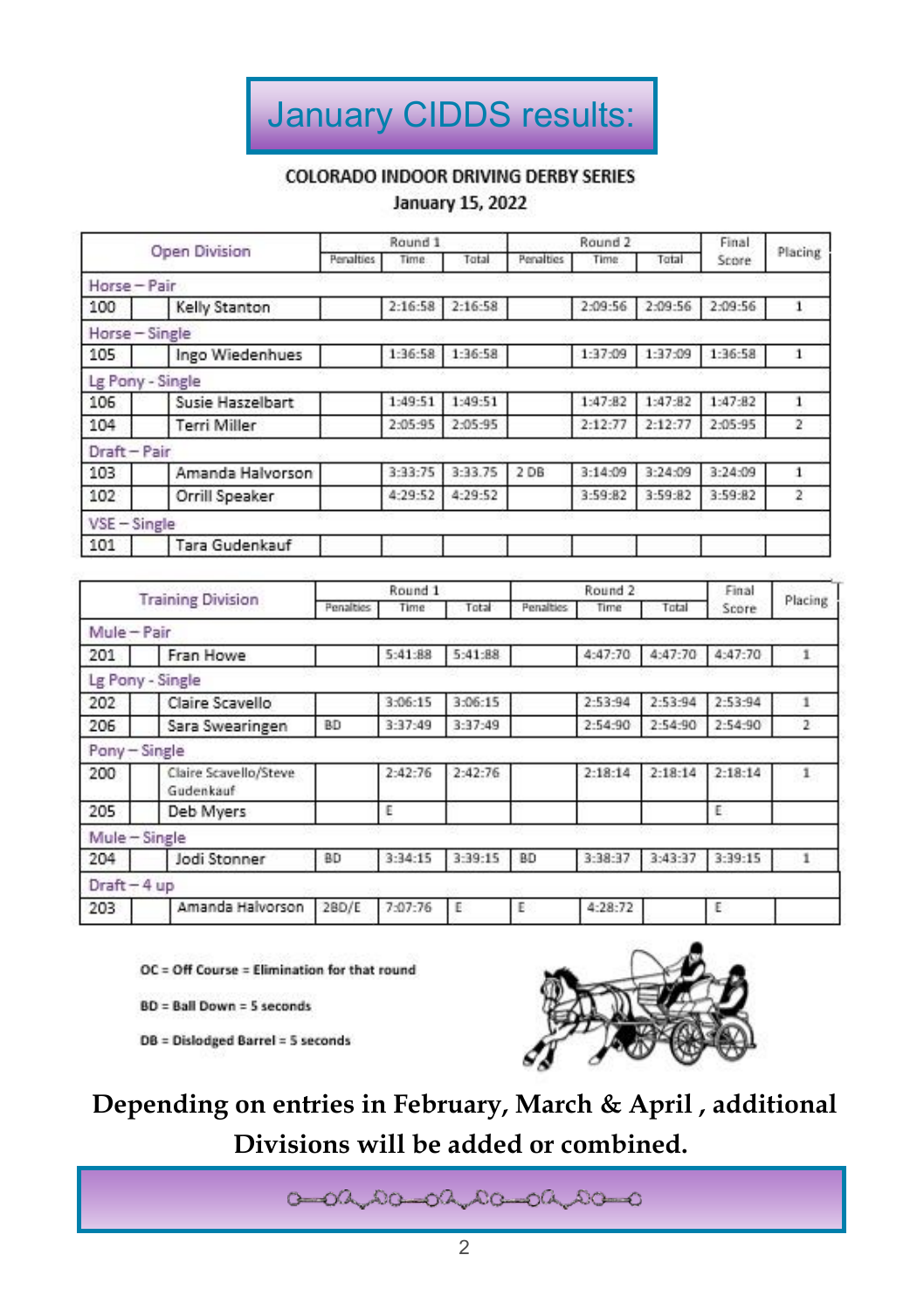# January CIDDS results:

#### **COLORADO INDOOR DRIVING DERBY SERIES**

#### **January 15, 2022**

| Open Division  |                     | Round <sub>1</sub> |               |         |           | Round <sub>2</sub> | Final   |         |         |
|----------------|---------------------|--------------------|---------------|---------|-----------|--------------------|---------|---------|---------|
|                |                     | Penalties<br>Time  |               | Total   | Penalties | Time               | Total   | Score   | Placing |
| Horse - Pair   |                     |                    |               |         |           |                    |         |         |         |
| 100            | Kelly Stanton       |                    | 2:16:58       | 2:16:58 |           | 2:09:56            | 2:09:56 | 2:09:56 |         |
| Horse - Single |                     |                    |               |         |           |                    |         |         |         |
| 105            | Ingo Wiedenhues     |                    | 1:36:58       | 1:36:58 |           | 1:37:09            | 1:37:09 | 1:36:58 |         |
|                | Lg Pony - Single    |                    |               |         |           |                    |         |         |         |
| 106            | Susie Haszelbart    |                    | 1:49:51       | 1:49:51 |           | 1:47:82            | 1:47:82 | 1:47:82 |         |
| 104            | <b>Terri Miller</b> |                    | 2:05:95       | 2:05:95 |           | 2:12:77            | 2:12:77 | 2:05:95 | 2       |
| Draft-Pair     |                     |                    |               |         |           |                    |         |         |         |
| 103            | Amanda Halvorson    |                    | $3 - 33 - 75$ | 3:33.75 | 2 DB      | 3:14:09            | 3:24:09 | 3:24:09 |         |
| 102            | Orrill Speaker      |                    | 4:29:52       | 4:29:52 |           | 3:59:82            | 3:59:82 | 3:59:82 | 2       |
| $VSE - Single$ |                     |                    |               |         |           |                    |         |         |         |
| 101            | Tara Gudenkauf      |                    |               |         |           |                    |         |         |         |

| <b>Training Division</b> |                                    | Round <sub>1</sub> |         |               |                  | Round <sub>2</sub> | Final         |         |              |
|--------------------------|------------------------------------|--------------------|---------|---------------|------------------|--------------------|---------------|---------|--------------|
|                          |                                    | Penalties          | Time    | Total         | <b>Penalties</b> | Time               | Total         | Score   | Placing      |
| Mule - Pair              |                                    |                    |         |               |                  |                    |               |         |              |
| 201                      | Fran Howe                          |                    | 5:41:88 | 5:41:88       |                  | 4:47:70            | 4:47:70       | 4:47:70 |              |
|                          | Lg Pony - Single                   |                    |         |               |                  |                    |               |         |              |
| 202                      | Claire Scavello                    |                    | 3:06:15 | $3 - 06 - 15$ |                  | $2 - 53 - 94$      | $2 - 53 - 94$ | 2:53:94 |              |
| 206                      | Sara Swearingen                    | <b>BD</b>          | 3:37:49 | 3:37:49       |                  | 2:54:90            | 2:54:90       | 2:54:90 | $\mathbf{2}$ |
| Pony - Single            |                                    |                    |         |               |                  |                    |               |         |              |
| 200                      | Claire Scavello/Steve<br>Gudenkauf |                    | 2:42:76 | 2:42:76       |                  | 2:18:14            | 2:18:14       | 2:18:14 | 1            |
| 205                      | Deb Myers                          |                    | Ε       |               |                  |                    |               | Ε       |              |
| Mule - Single            |                                    |                    |         |               |                  |                    |               |         |              |
| 204                      | Jodi Stonner                       | <b>BD</b>          | 3:34:15 | 3:39:15       | BD               | 3:38:37            | 3:43:37       | 3:39:15 |              |
| $Draft-4 up$             |                                    |                    |         |               |                  |                    |               |         |              |
| 203                      | Amanda Halvorson                   | 28D/E              | 7:07:76 |               |                  | 4:28:72            |               | ε       |              |
|                          |                                    |                    |         |               |                  |                    |               |         |              |

OC = Off Course = Elimination for that round

**BD = Ball Down = 5 seconds** 

DB = Dislodged Barrel = 5 seconds



**Depending on entries in February, March & April , additional Divisions will be added or combined.**

 $0 - 0$ a 00-0220-0220-0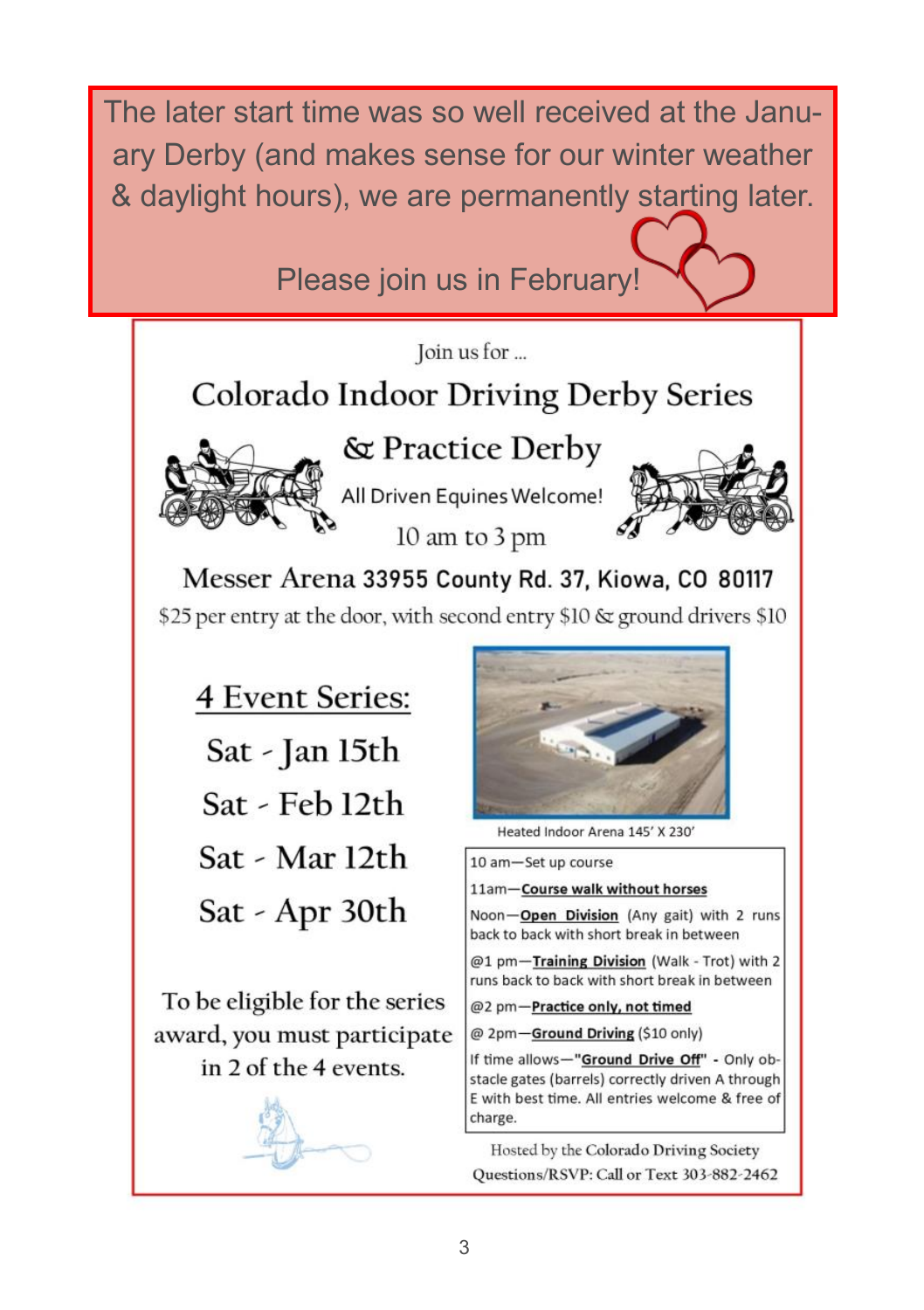The later start time was so well received at the January Derby (and makes sense for our winter weather & daylight hours), we are permanently starting later.

Please join us in February!

Join us for ...

# Colorado Indoor Driving Derby Series



& Practice Derby

All Driven Equines Welcome! 10 am to 3 pm



Messer Arena 33955 County Rd. 37, Kiowa, CO 80117 \$25 per entry at the door, with second entry \$10 & ground drivers \$10

**4 Event Series:** Sat - Jan 15th Sat - Feb 12th Sat - Mar 12th Sat - Apr 30th

To be eligible for the series award, you must participate in 2 of the 4 events.





Heated Indoor Arena 145' X 230'

10 am-Set up course

11am-Course walk without horses

Noon-Open Division (Any gait) with 2 runs back to back with short break in between

@1 pm-Training Division (Walk - Trot) with 2 runs back to back with short break in between

@2 pm-Practice only, not timed

@ 2pm-Ground Driving (\$10 only)

If time allows-"Ground Drive Off" - Only obstacle gates (barrels) correctly driven A through E with best time. All entries welcome & free of charge.

Hosted by the Colorado Driving Society Questions/RSVP: Call or Text 303-882-2462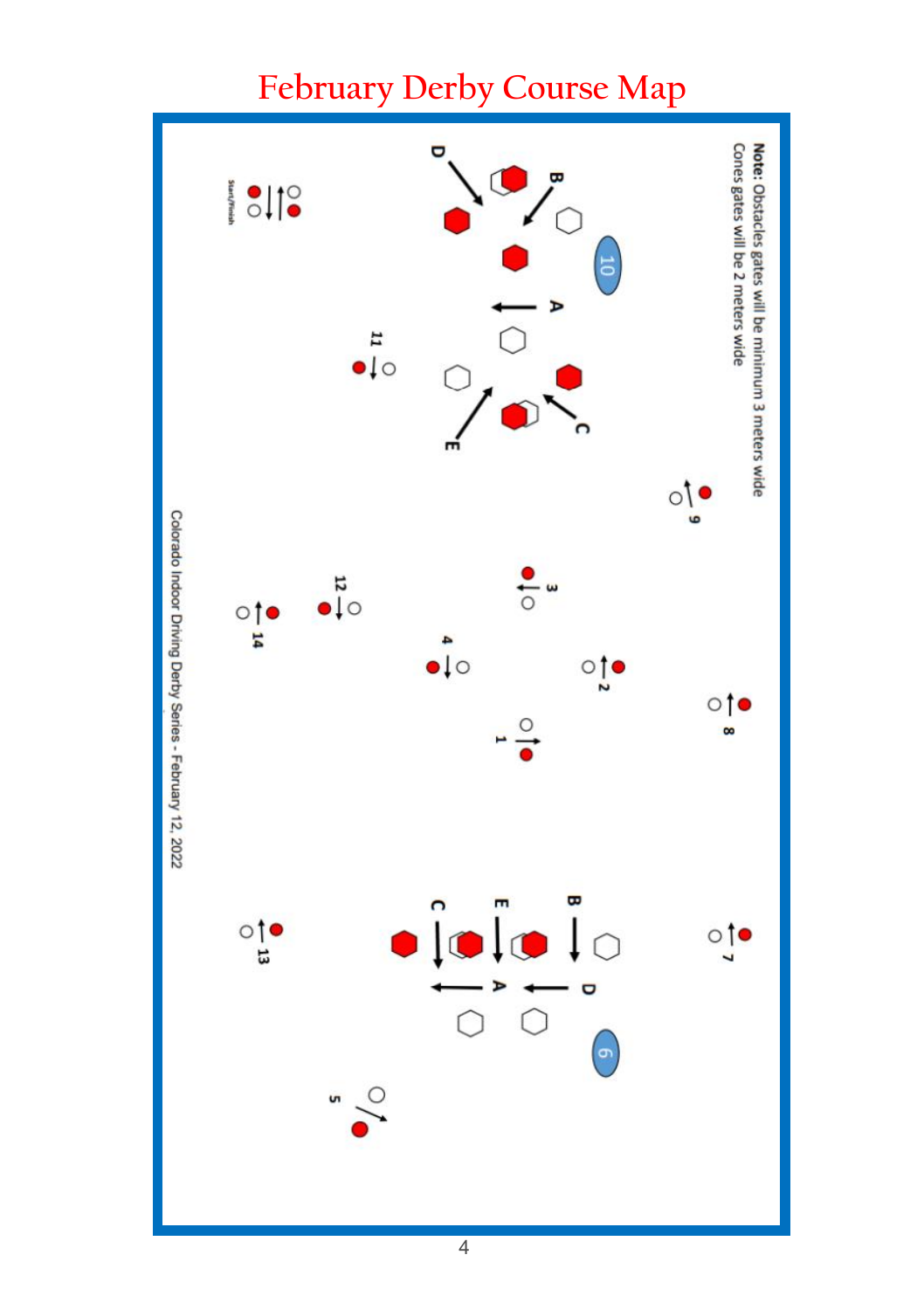

# **February Derby Course Map**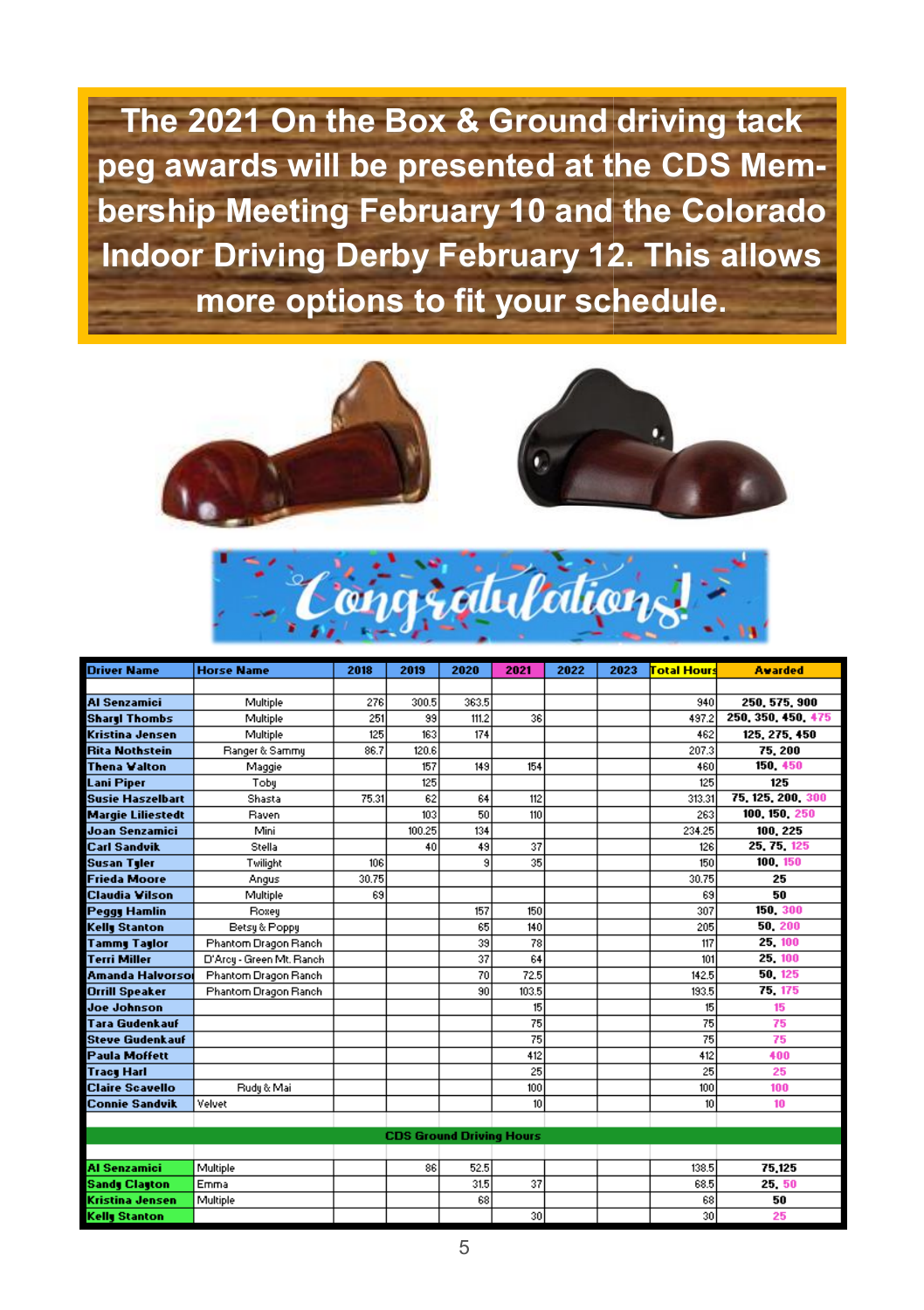**The 2021 On the Box & Ground driving tack peg awards will be presented at the CDS Membership Meeting February 10 and the Colorado Indoor Driving Derby February 12. This allows more options to fit your schedule.** 







| <b>Driver Name</b>       | <b>Horse Name</b>        | 2018  | 2019                            | 2020  | 2021  | 2022 | 2023 | <mark>Total Hours</mark> | <b>Avarded</b>     |
|--------------------------|--------------------------|-------|---------------------------------|-------|-------|------|------|--------------------------|--------------------|
|                          |                          |       |                                 |       |       |      |      |                          |                    |
| <b>Al Senzamici</b>      | Multiple                 | 276   | 300.5                           | 363.5 |       |      |      | 940                      | 250, 575, 900      |
| <b>Sharel Thombs</b>     | Multiple                 | 251   | 99                              | 111.2 | 36    |      |      | 497.2                    | 250, 350, 450, 475 |
| Kristina Jensen          | Multiple                 | 125   | 163                             | 174   |       |      |      | 462                      | 125, 275, 450      |
| <b>Rita Nothstein</b>    | Ranger & Sammy           | 86.7  | 120.6                           |       |       |      |      | 207.3                    | 75, 200            |
| <b>Thena Valton</b>      | Maggie                   |       | 157                             | 149   | 154   |      |      | 460                      | 150, 450           |
| Lani Piper               | Toby                     |       | 125                             |       |       |      |      | 125                      | 125                |
| <b>Susie Haszelbart</b>  | Shasta                   | 75.31 | 62                              | 64    | 112   |      |      | 313.31                   | 75, 125, 200, 300  |
| <b>Margie Liliestedt</b> | Raven                    |       | 103                             | 50    | 110   |      |      | 263                      | 100, 150, 250      |
| <b>Joan Senzamici</b>    | Mini                     |       | 100.25                          | 134   |       |      |      | 234.25                   | 100, 225           |
| <b>Carl Sandvik</b>      | Stella                   |       | 40                              | 49    | 37    |      |      | 126                      | 25, 75, 125        |
| <b>Susan Tyler</b>       | Twilight                 | 106   |                                 | 9     | 35    |      |      | 150                      | 100, 150           |
| <b>Frieda Moore</b>      | Angus                    | 30.75 |                                 |       |       |      |      | 30.75                    | 25                 |
| <b>Claudia Vilson</b>    | Multiple                 | 69    |                                 |       |       |      |      | 69                       | 50                 |
| <b>Peggy Hamlin</b>      | Roxey                    |       |                                 | 157   | 150   |      |      | 307                      | 150, 300           |
| <b>Kelly Stanton</b>     | Betsy & Poppy            |       |                                 | 65    | 140   |      |      | 205                      | 50, 200            |
| <b>Tammy Taylor</b>      | Phantom Dragon Ranch     |       |                                 | 39    | 78    |      |      | 117                      | 25, 100            |
| <b>Terri Miller</b>      | D'Arcy - Green Mt. Ranch |       |                                 | 37    | 64    |      |      | 101                      | 25, 100            |
| Amanda Halvorsoi         | Phantom Dragon Ranch     |       |                                 | 70    | 72.5  |      |      | 142.5                    | 50, 125            |
| <b>Orrill Speaker</b>    | Phantom Dragon Ranch     |       |                                 | 90    | 103.5 |      |      | 193.5                    | 75, 175            |
| Joe Johnson              |                          |       |                                 |       | 15    |      |      | 15                       | 15                 |
| <b>Tara Gudenkauf</b>    |                          |       |                                 |       | 75    |      |      | 75                       | 75                 |
| <b>Steve Gudenkauf</b>   |                          |       |                                 |       | 75    |      |      | 75                       | 75                 |
| <b>Paula Moffett</b>     |                          |       |                                 |       | 412   |      |      | 412                      | 400                |
| <b>Tracy Harl</b>        |                          |       |                                 |       | 25    |      |      | 25                       | 25                 |
| <b>Claire Scavello</b>   | Rudy & Mai               |       |                                 |       | 100   |      |      | 100                      | 100                |
| <b>Connie Sandvik</b>    | Velvet                   |       |                                 |       | 10    |      |      | 10                       | 10                 |
|                          |                          |       |                                 |       |       |      |      |                          |                    |
|                          |                          |       | <b>CDS Ground Driving Hours</b> |       |       |      |      |                          |                    |
|                          |                          |       |                                 |       |       |      |      |                          |                    |
| <b>Al Senzamici</b>      | Multiple                 |       | 86                              | 52.5  |       |      |      | 138.5                    | 75,125             |
| <b>Sandy Clayton</b>     | Emma                     |       |                                 | 31.5  | 37    |      |      | 68.5                     | 25 50              |
| <b>Kristina Jensen</b>   | Multiple                 |       |                                 | 68    |       |      |      | 68                       | 50                 |
| <b>Kelly Stanton</b>     |                          |       |                                 |       | 30    |      |      | 30                       | 25                 |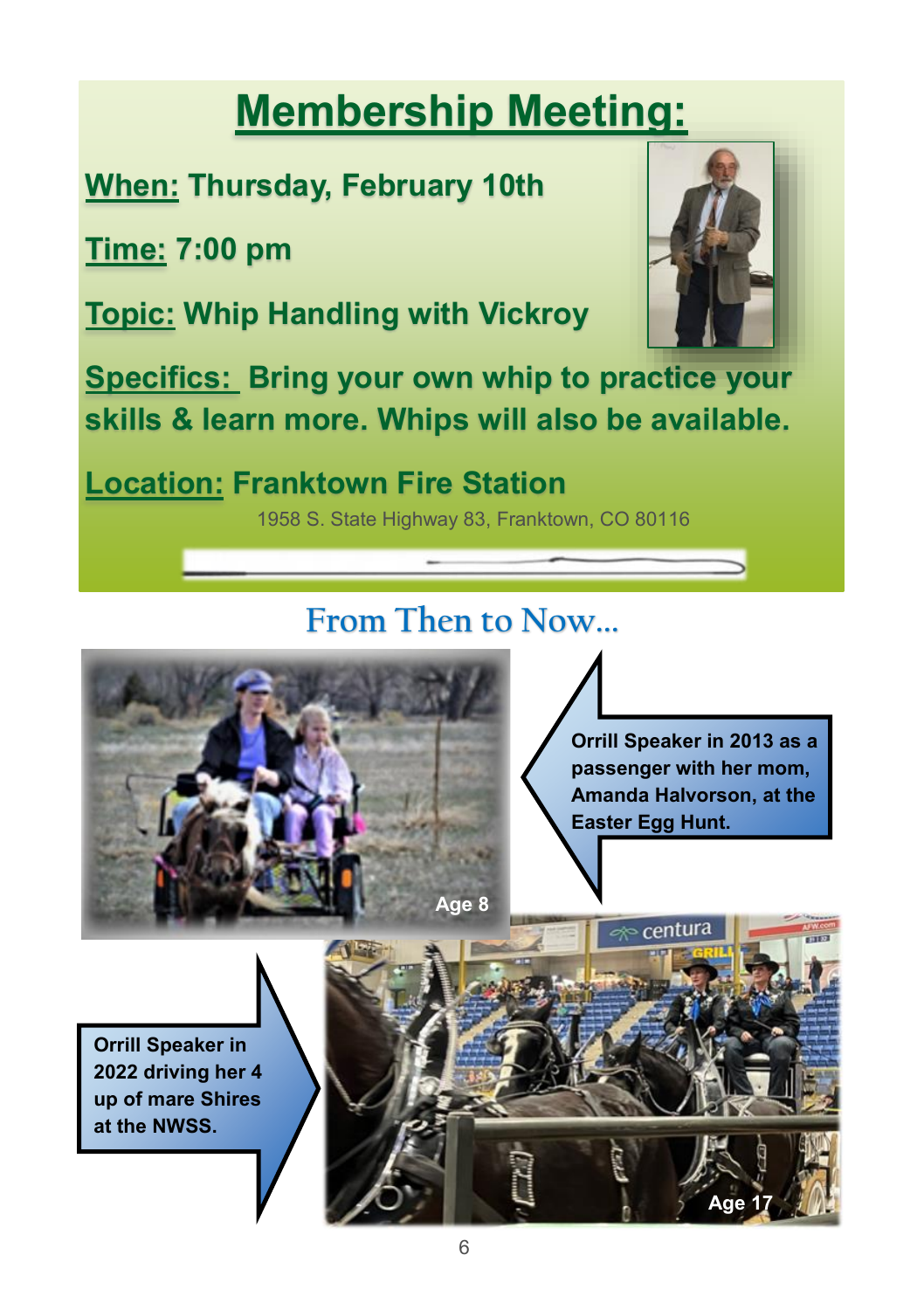# **Membership Meeting:**

# **When: Thursday, February 10th**

**Time: 7:00 pm**

**Topic: Whip Handling with Vickroy**



**Specifics: Bring your own whip to practice your skills & learn more. Whips will also be available.**

**Location: Franktown Fire Station** 

1958 S. State Highway 83, Franktown, CO 80116

# **From Then to Now...**



**Orrill Speaker in 2013 as a passenger with her mom, Amanda Halvorson, at the Easter Egg Hunt.** 

centura

**Age 17**

**Orrill Speaker in 2022 driving her 4 up of mare Shires at the NWSS.**